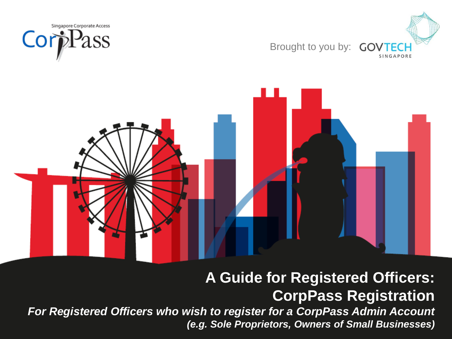





*For Registered Officers who wish to register for a CorpPass Admin Account (e.g. Sole Proprietors, Owners of Small Businesses)*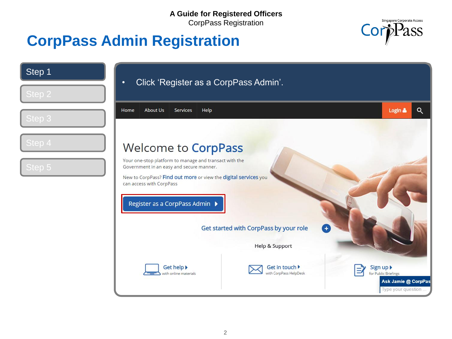

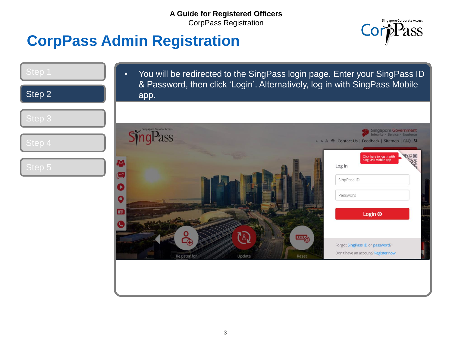

| Step 1 | You will be redirected to the SingPass login page. Enter your SingPass ID<br>$\bullet$<br>& Password, then click 'Login'. Alternatively, log in with SingPass Mobile |
|--------|----------------------------------------------------------------------------------------------------------------------------------------------------------------------|
| Step 2 | app.                                                                                                                                                                 |
| Step 3 |                                                                                                                                                                      |
| Step 4 | gapore Personal Access<br>Singapore Government<br>Integrity · Service · Excellence<br>A A A H Contact Us   Feedback   Sitemap   FAQ Q                                |
| Step 5 | 哪<br>Click here to log in with<br>SingPass Mobile app<br>Log in<br>SingPass ID<br>Password<br>O<br>œ<br>Login $\Theta$                                               |
|        | '≗,<br>四<br>Forgot SingPass ID or password?<br>Don't have an account? Register now<br>Update<br>Register for<br>Reset                                                |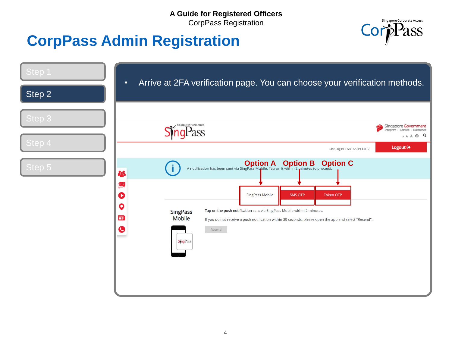

| Step 1<br>Step 2 | Arrive at 2FA verification page. You can choose your verification methods.<br>$\bullet$                                                                                                                                                                                                                                    |                                                                     |
|------------------|----------------------------------------------------------------------------------------------------------------------------------------------------------------------------------------------------------------------------------------------------------------------------------------------------------------------------|---------------------------------------------------------------------|
| Step 3           | Singapore Personal Access                                                                                                                                                                                                                                                                                                  | Singapore Government<br>Integrity · Service · Excellence<br>AAA - Q |
| Step 4<br>Step 5 | Last Login: 17/01/2019 14:12<br>A notification has been sent via SingPass Mobile. Tap on it within 2 minutes to proceed.<br>23                                                                                                                                                                                             | Logout <sup>(+</sup>                                                |
|                  | $\left(\frac{m}{2}\right)$<br>O<br>SingPass Mobile<br><b>SMS OTP</b><br><b>Token OTP</b><br>O<br>Tap on the push notification sent via SingPass Mobile within 2 minutes.<br><b>SingPass</b><br>面<br><b>Mobile</b><br>If you do not receive a push notification within 30 seconds, please open the app and select "Resend". |                                                                     |
|                  | $\mathbf{\bullet}$<br>Resend<br><b>SingPass</b>                                                                                                                                                                                                                                                                            |                                                                     |
|                  |                                                                                                                                                                                                                                                                                                                            |                                                                     |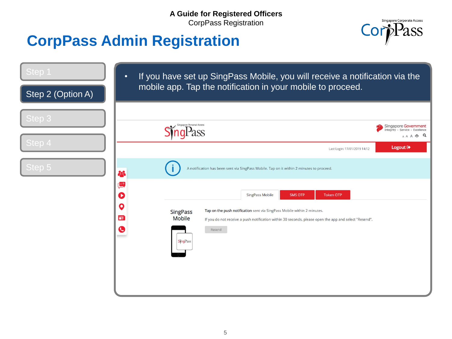

| Step 1<br>Step 2 (Option A) | $\bullet$                                                                                         | If you have set up SingPass Mobile, you will receive a notification via the<br>mobile app. Tap the notification in your mobile to proceed.                                                                                                                 |                                                                    |
|-----------------------------|---------------------------------------------------------------------------------------------------|------------------------------------------------------------------------------------------------------------------------------------------------------------------------------------------------------------------------------------------------------------|--------------------------------------------------------------------|
|                             |                                                                                                   |                                                                                                                                                                                                                                                            |                                                                    |
| Step 3                      |                                                                                                   | ingapore Personal Access                                                                                                                                                                                                                                   | Singapore Government<br>Integrity · Service · Excellence<br>AAA HQ |
| Step 4                      |                                                                                                   | Last Login: 17/01/2019 14:12                                                                                                                                                                                                                               | Logout <sup>®</sup>                                                |
| Step 5                      | 88                                                                                                | A notification has been sent via SingPass Mobile. Tap on it within 2 minutes to proceed.                                                                                                                                                                   |                                                                    |
|                             | $\overline{2}$<br>O<br>Q<br><b>SingPass</b><br>面<br><b>Mobile</b><br>$\bullet$<br><b>SingPass</b> | <b>SingPass Mobile</b><br><b>SMS OTP</b><br><b>Token OTP</b><br>Tap on the push notification sent via SingPass Mobile within 2 minutes.<br>If you do not receive a push notification within 30 seconds, please open the app and select "Resend".<br>Resend |                                                                    |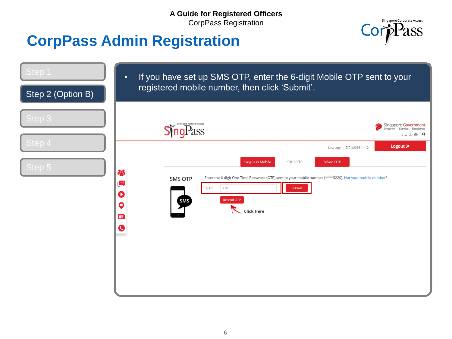

| Step 1<br>Step 2 (Option B) | If you have set up SMS OTP, enter the 6-digit Mobile OTP sent to your<br>$\bullet$<br>registered mobile number, then click 'Submit'.                                                                                                                                                                                                                                    |  |  |
|-----------------------------|-------------------------------------------------------------------------------------------------------------------------------------------------------------------------------------------------------------------------------------------------------------------------------------------------------------------------------------------------------------------------|--|--|
| Step 3<br>Step 4            | Singapore Personal Access<br>Singapore Government<br>Integrity · Service · Excellence<br>ass<br>$A A A \xrightarrow{\text{max}} Q$                                                                                                                                                                                                                                      |  |  |
| Step 5                      | Logout <sup>®</sup><br>Last Login: 17/01/2019 14:12<br><b>SingPass Mobile</b><br><b>SMS OTP</b><br><b>Token OTP</b><br>28<br>Enter the 6-digit One-Time Password (OTP) sent to your mobile number (****3220). Not your mobile number?<br><b>SMS OTP</b><br>$\overline{2}$<br>OTP:<br>OTP<br>Submit<br>D<br><b>Resend OTF</b><br>SMS<br>Q<br><b>Click Here</b><br>面<br>G |  |  |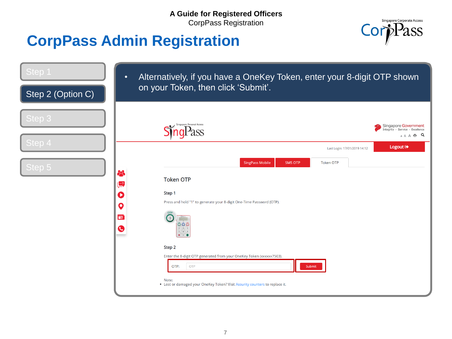

| Step 1<br>Step 2 (Option C) | $\bullet$                                                       | Alternatively, if you have a OneKey Token, enter your 8-digit OTP shown<br>on your Token, then click 'Submit'.                                                                                                                                                                                                                                                                                                                                        |
|-----------------------------|-----------------------------------------------------------------|-------------------------------------------------------------------------------------------------------------------------------------------------------------------------------------------------------------------------------------------------------------------------------------------------------------------------------------------------------------------------------------------------------------------------------------------------------|
| Step 3<br>Step 4            |                                                                 | ingapore Personal Access<br>Singapore Government<br>Integrity · Service · Excellence<br>$A A \xrightarrow{\bullet} Q$<br>Logout <sup>[+</sup><br>Last Login: 17/01/2019 14:12                                                                                                                                                                                                                                                                         |
| Step 5                      | 8<br>هيا)<br>Q<br>$\boldsymbol{\mathsf{Q}}$<br>面<br>$\mathbf G$ | <b>SingPass Mobile</b><br><b>SMS OTP</b><br><b>Token OTP</b><br><b>Token OTP</b><br>Step 1<br>Press and hold "1" to generate your 8-digit One-Time Password (OTP).<br>000<br>$4 - 5 - 6$<br>$\mathbf{y} = \mathbf{z} - \mathbf{y}$<br>$- 0$<br>Step 2<br>Enter the 8-digit OTP generated from your OneKey Token (xxxxxx7503).<br>OTP:<br>Submit<br><b>OTP</b><br>Note:<br>. Lost or damaged your OneKey Token? Visit Assurity counters to replace it. |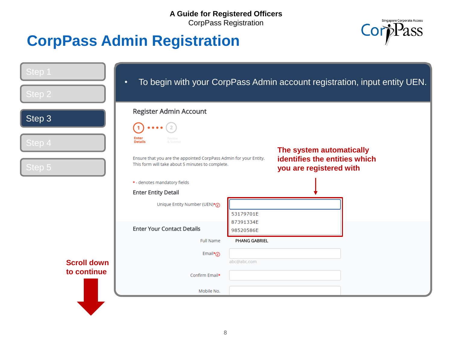

| Step 1<br>Step 2   | To begin with your CorpPass Admin account registration, input entity UEN.<br>$\bullet$ |                        |                                                          |  |
|--------------------|----------------------------------------------------------------------------------------|------------------------|----------------------------------------------------------|--|
|                    | Register Admin Account                                                                 |                        |                                                          |  |
| Step 3             |                                                                                        |                        |                                                          |  |
| Step 4             | Enter<br>Revies<br><b>Details</b><br>& Submi                                           |                        |                                                          |  |
|                    | Ensure that you are the appointed CorpPass Admin for your Entity.                      |                        | The system automatically                                 |  |
| Step $5$           | This form will take about 5 minutes to complete.                                       |                        | identifies the entities which<br>you are registered with |  |
|                    | * - denotes mandatory fields                                                           |                        |                                                          |  |
|                    | <b>Enter Entity Detail</b>                                                             |                        |                                                          |  |
|                    | Unique Entity Number (UEN)*(1)                                                         |                        |                                                          |  |
|                    |                                                                                        | 53179701E              |                                                          |  |
|                    | <b>Enter Your Contact Details</b>                                                      | 87391334E<br>98520586E |                                                          |  |
|                    | <b>Full Name</b>                                                                       | PHANG GABRIEL          |                                                          |  |
|                    | Email* $\odot$                                                                         |                        |                                                          |  |
| <b>Scroll down</b> |                                                                                        | abc@abc.com            |                                                          |  |
| to continue        | Confirm Email*                                                                         |                        |                                                          |  |
|                    | Mobile No.                                                                             |                        |                                                          |  |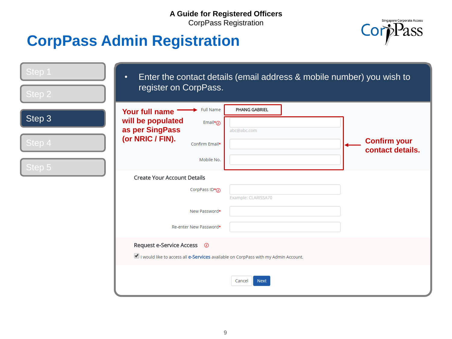

| Step 1 | $\bullet$<br>register on CorpPass.                                                    | Enter the contact details (email address & mobile number) you wish to |  |
|--------|---------------------------------------------------------------------------------------|-----------------------------------------------------------------------|--|
| Step 2 |                                                                                       |                                                                       |  |
| Step 3 | Full Name<br>Your full name<br>will be populated<br>Email* $\odot$<br>as per SingPass | PHANG GABRIEL<br>abc@abc.com                                          |  |
| Step 4 | (or NRIC / FIN).<br>Confirm Email*                                                    | <b>Confirm your</b><br>contact details.                               |  |
| Step 5 | Mobile No.                                                                            |                                                                       |  |
|        | <b>Create Your Account Details</b>                                                    |                                                                       |  |
|        | CorpPass $ID*(i)$                                                                     | Example: CLARISSA70                                                   |  |
|        | New Password*                                                                         |                                                                       |  |
|        | Re-enter New Password*                                                                |                                                                       |  |
|        | Request e-Service Access <b><i>O</i></b>                                              |                                                                       |  |
|        | I would like to access all e-Services available on CorpPass with my Admin Account.    |                                                                       |  |
|        |                                                                                       | <b>Next</b><br>Cancel                                                 |  |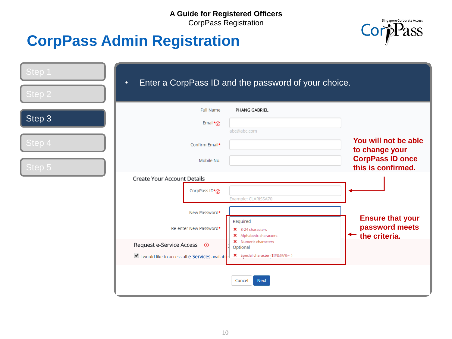

| Step 1           | $\bullet$                                                                     | Enter a CorpPass ID and the password of your choice.                             |                                                                                         |
|------------------|-------------------------------------------------------------------------------|----------------------------------------------------------------------------------|-----------------------------------------------------------------------------------------|
| Step 2           |                                                                               |                                                                                  |                                                                                         |
| Step 3           | Full Name<br>Email* $\widehat{a}$                                             | PHANG GABRIEL<br>abc@abc.com                                                     |                                                                                         |
| Step 4<br>Step 5 | Confirm Email*<br>Mobile No.                                                  |                                                                                  | You will not be able<br>to change your<br><b>CorpPass ID once</b><br>this is confirmed. |
|                  | <b>Create Your Account Details</b><br>CorpPass $ID*(i)$                       | Example: CLARISSA70                                                              |                                                                                         |
|                  | New Password*<br>Re-enter New Password*                                       | Required<br>X 8-24 characters<br>X Alphabetic characters<br>X Numeric characters | <b>Ensure that your</b><br>password meets<br>the criteria.                              |
|                  | Request e-Service Access ©<br>I would like to access all e-Services available | Optional<br>X Special character (\$!#&@?%=_)                                     |                                                                                         |
|                  |                                                                               | <b>Next</b><br>Cancel                                                            |                                                                                         |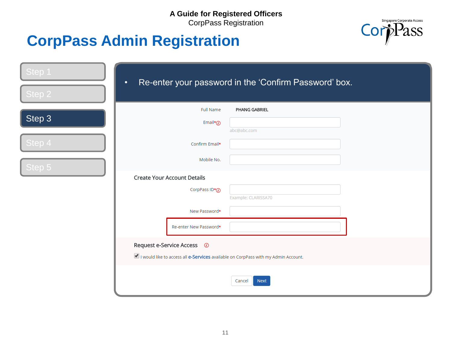

| Step 1 | Re-enter your password in the 'Confirm Password' box.<br>$\bullet$                 |
|--------|------------------------------------------------------------------------------------|
| Step 2 |                                                                                    |
|        | Full Name<br>PHANG GABRIEL                                                         |
| Step 3 | Email* $\odot$<br>abc@abc.com                                                      |
| Step 4 | Confirm Email*                                                                     |
| Step 5 | Mobile No.                                                                         |
|        | <b>Create Your Account Details</b>                                                 |
|        | CorpPass ID*(i)<br>Example: CLARISSA70                                             |
|        | New Password*                                                                      |
|        | Re-enter New Password*                                                             |
|        | Request e-Service Access <b><i><b>O</b></i></b>                                    |
|        | I would like to access all e-Services available on CorpPass with my Admin Account. |
|        | <b>Next</b><br>Cancel                                                              |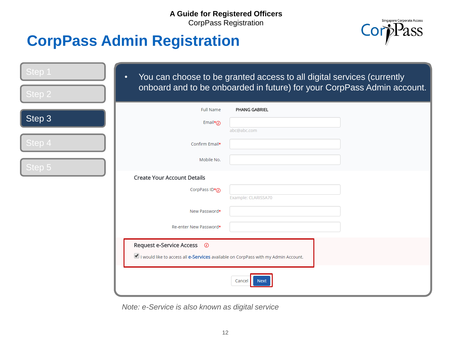# **CorpPass Admin Registration**



| Step 1<br>Step 2 | $\bullet$                                                                                                                                                | You can choose to be granted access to all digital services (currently<br>onboard and to be onboarded in future) for your CorpPass Admin account. |
|------------------|----------------------------------------------------------------------------------------------------------------------------------------------------------|---------------------------------------------------------------------------------------------------------------------------------------------------|
| Step 3           | <b>Full Name</b><br>Email* $\odot$                                                                                                                       | PHANG GABRIEL                                                                                                                                     |
| Step 4           | Confirm Email*                                                                                                                                           | abc@abc.com                                                                                                                                       |
| Step 5           | Mobile No.                                                                                                                                               |                                                                                                                                                   |
|                  | <b>Create Your Account Details</b><br>CorpPass $ID*(i)$                                                                                                  | Example: CLARISSA70                                                                                                                               |
|                  | New Password*                                                                                                                                            |                                                                                                                                                   |
|                  | Re-enter New Password*<br>Request e-Service Access <b><i>O</i></b><br>I would like to access all e-Services available on CorpPass with my Admin Account. | Cancel<br><b>Next</b>                                                                                                                             |

*Note: e-Service is also known as digital service*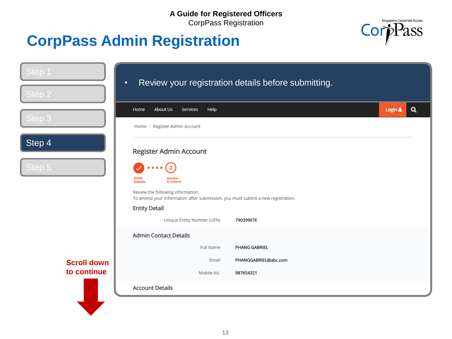#### **A Guide for Registered Officers**

CorpPass Registration



| Step 1             | $\bullet$                                                                                                            | Review your registration details before submitting. |                     |
|--------------------|----------------------------------------------------------------------------------------------------------------------|-----------------------------------------------------|---------------------|
| Step 2             |                                                                                                                      |                                                     |                     |
| Step 3             | Services<br>Help<br><b>About Us</b><br>Home                                                                          |                                                     | $\alpha$<br>Login & |
|                    | Home / Register Admin Account                                                                                        |                                                     |                     |
| Step 4             | Register Admin Account                                                                                               |                                                     |                     |
| Step 5             | $\overline{2}$<br><b>Enter</b><br>Review<br><b>Details</b><br>& Submit                                               |                                                     |                     |
|                    | Review the following information.<br>To amend your information after submission, you must submit a new registration. |                                                     |                     |
|                    | <b>Entity Detail</b>                                                                                                 |                                                     |                     |
|                    | Unique Entity Number (UEN)                                                                                           | 79039907E                                           |                     |
|                    | <b>Admin Contact Details</b>                                                                                         |                                                     |                     |
|                    | <b>Full Name</b>                                                                                                     | PHANG GABRIEL                                       |                     |
| <b>Scroll down</b> | Email                                                                                                                | PHANGGABRIEL@abc.com                                |                     |
| to continue        | Mobile No.                                                                                                           | 987654321                                           |                     |
|                    | <b>Account Details</b>                                                                                               |                                                     |                     |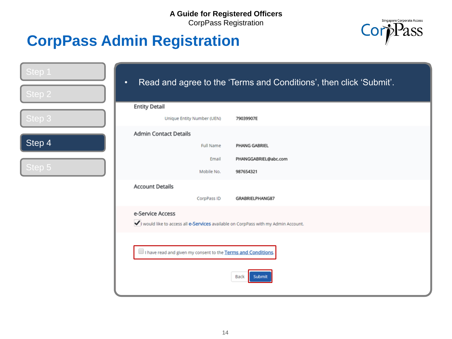

| Step 1 | $\bullet$                                                                                              | Read and agree to the 'Terms and Conditions', then click 'Submit'. |
|--------|--------------------------------------------------------------------------------------------------------|--------------------------------------------------------------------|
| Step 2 |                                                                                                        |                                                                    |
|        | <b>Entity Detail</b>                                                                                   |                                                                    |
| Step 3 | Unique Entity Number (UEN)                                                                             | 79039907E                                                          |
|        | <b>Admin Contact Details</b>                                                                           |                                                                    |
| Step 4 | Full Name                                                                                              | PHANG GABRIEL                                                      |
|        | Email                                                                                                  | PHANGGABRIEL@abc.com                                               |
| Step 5 | Mobile No.                                                                                             | 987654321                                                          |
|        | <b>Account Details</b>                                                                                 |                                                                    |
|        | CorpPass ID                                                                                            | GRABRIELPHANG87                                                    |
|        | e-Service Access<br>vivould like to access all e-Services available on CorpPass with my Admin Account. |                                                                    |
|        | I have read and given my consent to the Terms and Conditions.                                          | Back<br>Submit                                                     |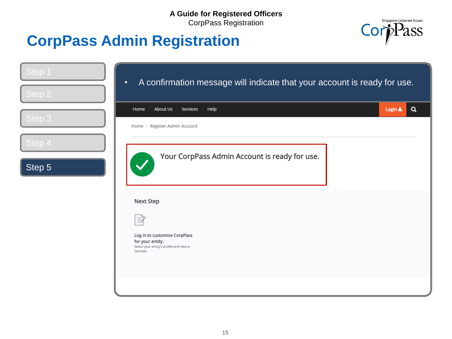

| Step 1<br>Step 2 | A confirmation message will indicate that your account is ready for use.<br>$\bullet$                     |         |          |
|------------------|-----------------------------------------------------------------------------------------------------------|---------|----------|
|                  | <b>About Us</b><br>Services<br>Help<br>Home                                                               | Login & | $\alpha$ |
| Step 3           | Home / Register Admin Account                                                                             |         |          |
| Step 4           |                                                                                                           |         |          |
| Step 5           | Your CorpPass Admin Account is ready for use.                                                             |         |          |
|                  | Next Step                                                                                                 |         |          |
|                  |                                                                                                           |         |          |
|                  | Log in to customise CorpPass<br>for your entity.<br>Select your entity's profile and view e-<br>Services. |         |          |
|                  |                                                                                                           |         |          |